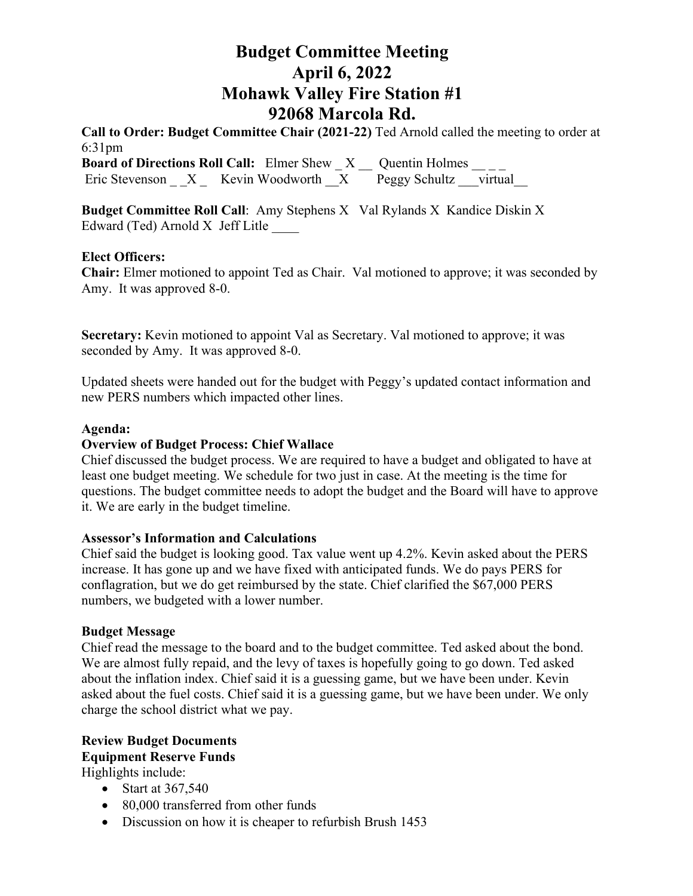# **Budget Committee Meeting April 6, 2022 Mohawk Valley Fire Station #1 92068 Marcola Rd.**

**Call to Order: Budget Committee Chair (2021-22)** Ted Arnold called the meeting to order at 6:31pm **Board of Directions Roll Call:** Elmer Shew  $X$  Quentin Holmes \_\_\_\_ Eric Stevenson  $X$  Kevin Woodworth  $X$  Peggy Schultz virtual

**Budget Committee Roll Call:** Amy Stephens X Val Rylands X Kandice Diskin X Edward (Ted) Arnold X Jeff Litle \_\_\_\_

#### **Elect Officers:**

**Chair:** Elmer motioned to appoint Ted as Chair. Val motioned to approve; it was seconded by Amy. It was approved 8-0.

**Secretary:** Kevin motioned to appoint Val as Secretary. Val motioned to approve; it was seconded by Amy. It was approved 8-0.

Updated sheets were handed out for the budget with Peggy's updated contact information and new PERS numbers which impacted other lines.

### **Agenda:**

#### **Overview of Budget Process: Chief Wallace**

Chief discussed the budget process. We are required to have a budget and obligated to have at least one budget meeting. We schedule for two just in case. At the meeting is the time for questions. The budget committee needs to adopt the budget and the Board will have to approve it. We are early in the budget timeline.

#### **Assessor's Information and Calculations**

Chief said the budget is looking good. Tax value went up 4.2%. Kevin asked about the PERS increase. It has gone up and we have fixed with anticipated funds. We do pays PERS for conflagration, but we do get reimbursed by the state. Chief clarified the \$67,000 PERS numbers, we budgeted with a lower number.

#### **Budget Message**

Chief read the message to the board and to the budget committee. Ted asked about the bond. We are almost fully repaid, and the levy of taxes is hopefully going to go down. Ted asked about the inflation index. Chief said it is a guessing game, but we have been under. Kevin asked about the fuel costs. Chief said it is a guessing game, but we have been under. We only charge the school district what we pay.

## **Review Budget Documents Equipment Reserve Funds**

Highlights include:

- Start at 367,540
- 80,000 transferred from other funds
- Discussion on how it is cheaper to refurbish Brush 1453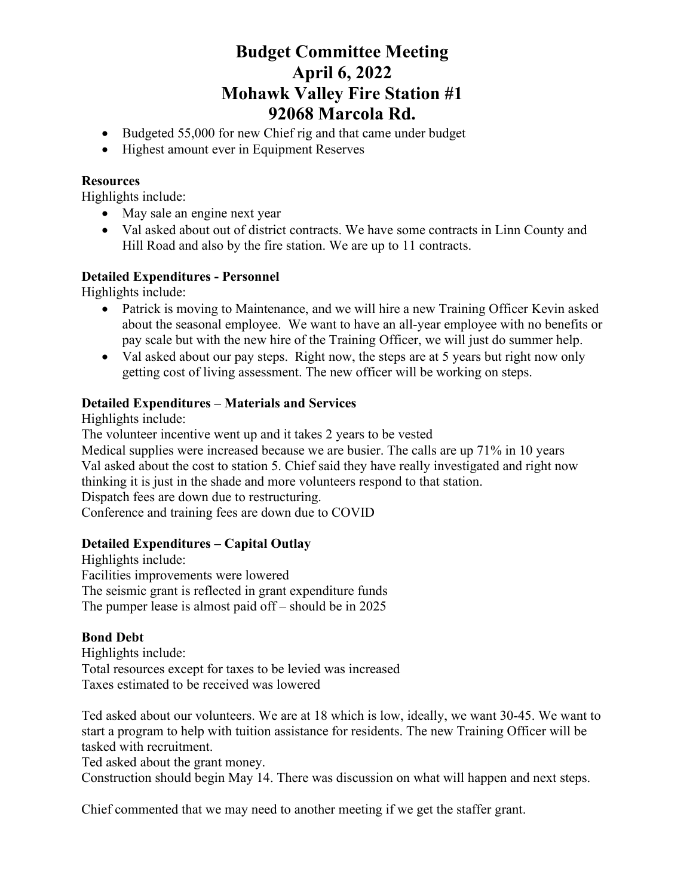# **Budget Committee Meeting April 6, 2022 Mohawk Valley Fire Station #1 92068 Marcola Rd.**

- Budgeted 55,000 for new Chief rig and that came under budget
- Highest amount ever in Equipment Reserves

#### **Resources**

Highlights include:

- May sale an engine next year
- Val asked about out of district contracts. We have some contracts in Linn County and Hill Road and also by the fire station. We are up to 11 contracts.

## **Detailed Expenditures - Personnel**

Highlights include:

- Patrick is moving to Maintenance, and we will hire a new Training Officer Kevin asked about the seasonal employee. We want to have an all-year employee with no benefits or pay scale but with the new hire of the Training Officer, we will just do summer help.
- Val asked about our pay steps. Right now, the steps are at 5 years but right now only getting cost of living assessment. The new officer will be working on steps.

### **Detailed Expenditures – Materials and Services**

Highlights include:

The volunteer incentive went up and it takes 2 years to be vested

Medical supplies were increased because we are busier. The calls are up 71% in 10 years Val asked about the cost to station 5. Chief said they have really investigated and right now thinking it is just in the shade and more volunteers respond to that station. Dispatch fees are down due to restructuring.

Conference and training fees are down due to COVID

## **Detailed Expenditures – Capital Outlay**

Highlights include: Facilities improvements were lowered The seismic grant is reflected in grant expenditure funds The pumper lease is almost paid off – should be in 2025

#### **Bond Debt**

Highlights include: Total resources except for taxes to be levied was increased Taxes estimated to be received was lowered

Ted asked about our volunteers. We are at 18 which is low, ideally, we want 30-45. We want to start a program to help with tuition assistance for residents. The new Training Officer will be tasked with recruitment.

Ted asked about the grant money.

Construction should begin May 14. There was discussion on what will happen and next steps.

Chief commented that we may need to another meeting if we get the staffer grant.